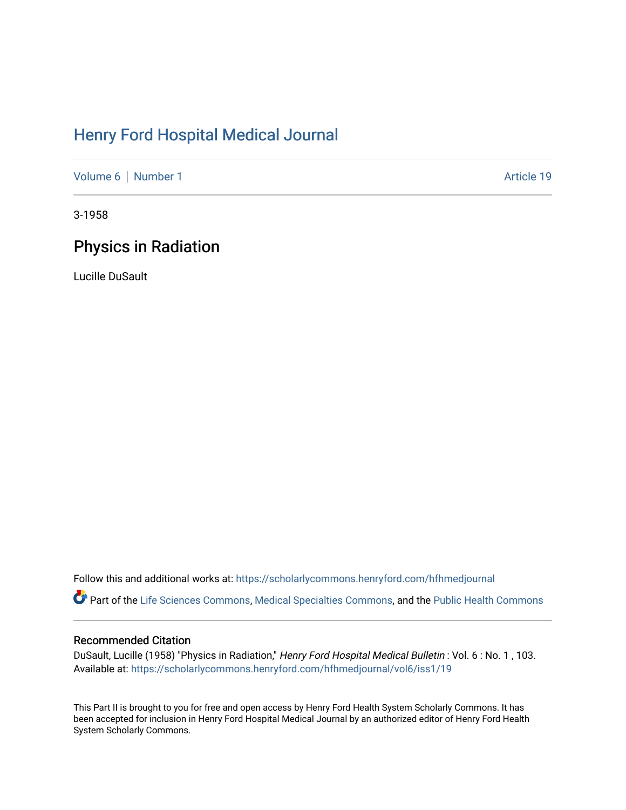## [Henry Ford Hospital Medical Journal](https://scholarlycommons.henryford.com/hfhmedjournal)

[Volume 6](https://scholarlycommons.henryford.com/hfhmedjournal/vol6) | [Number 1](https://scholarlycommons.henryford.com/hfhmedjournal/vol6/iss1) Article 19

3-1958

## Physics in Radiation

Lucille DuSault

Follow this and additional works at: [https://scholarlycommons.henryford.com/hfhmedjournal](https://scholarlycommons.henryford.com/hfhmedjournal?utm_source=scholarlycommons.henryford.com%2Fhfhmedjournal%2Fvol6%2Fiss1%2F19&utm_medium=PDF&utm_campaign=PDFCoverPages)

Part of the [Life Sciences Commons,](http://network.bepress.com/hgg/discipline/1016?utm_source=scholarlycommons.henryford.com%2Fhfhmedjournal%2Fvol6%2Fiss1%2F19&utm_medium=PDF&utm_campaign=PDFCoverPages) [Medical Specialties Commons](http://network.bepress.com/hgg/discipline/680?utm_source=scholarlycommons.henryford.com%2Fhfhmedjournal%2Fvol6%2Fiss1%2F19&utm_medium=PDF&utm_campaign=PDFCoverPages), and the [Public Health Commons](http://network.bepress.com/hgg/discipline/738?utm_source=scholarlycommons.henryford.com%2Fhfhmedjournal%2Fvol6%2Fiss1%2F19&utm_medium=PDF&utm_campaign=PDFCoverPages) 

## Recommended Citation

DuSault, Lucille (1958) "Physics in Radiation," Henry Ford Hospital Medical Bulletin : Vol. 6 : No. 1 , 103. Available at: [https://scholarlycommons.henryford.com/hfhmedjournal/vol6/iss1/19](https://scholarlycommons.henryford.com/hfhmedjournal/vol6/iss1/19?utm_source=scholarlycommons.henryford.com%2Fhfhmedjournal%2Fvol6%2Fiss1%2F19&utm_medium=PDF&utm_campaign=PDFCoverPages)

This Part II is brought to you for free and open access by Henry Ford Health System Scholarly Commons. It has been accepted for inclusion in Henry Ford Hospital Medical Journal by an authorized editor of Henry Ford Health System Scholarly Commons.